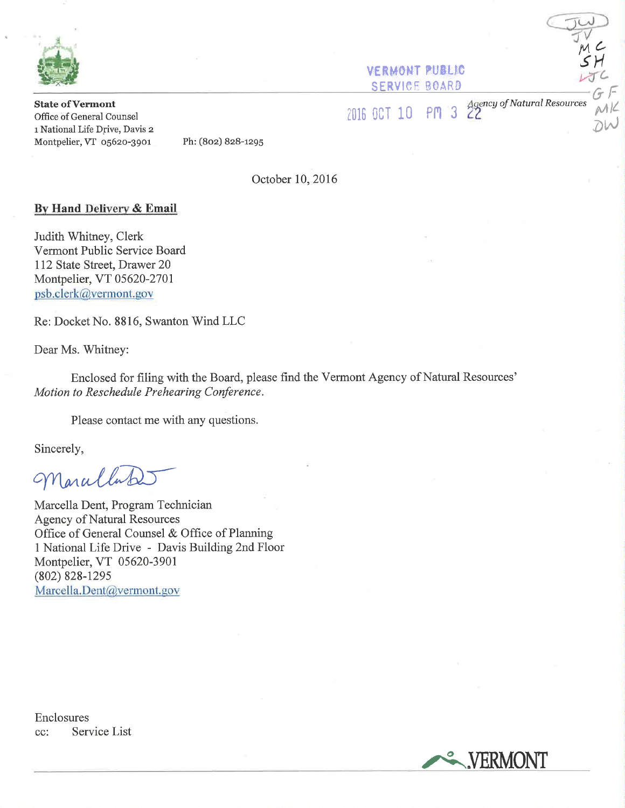

**VERMONT PUBLIC SERVICE BOARD** 

**State of Vermont** Office of General Counsel 1 National Life Drive, Davis 2 Montpelier, VT 05620-3901

2016 OCT 10 PM

Agency of Natural Resources<br>22

NK

Ph: (802) 828-1295

October 10, 2016

# By Hand Delivery & Email

Judith Whitney, Clerk Vermont Public Service Board 112 State Street, Drawer 20 Montpelier, VT 05620-2701 psb.clerk@vermont.gov

Re: Docket No. 8816, Swanton Wind LLC

Dear Ms. Whitney:

Enclosed for filing with the Board, please find the Vermont Agency of Natural Resources' Motion to Reschedule Prehearing Conference.

Please contact me with any questions.

Sincerely,

Maralla

Marcella Dent, Program Technician **Agency of Natural Resources** Office of General Counsel & Office of Planning 1 National Life Drive - Davis Building 2nd Floor Montpelier, VT 05620-3901  $(802) 828 - 1295$ Marcella.Dent@vermont.gov

Enclosures Service List  $cc$ :

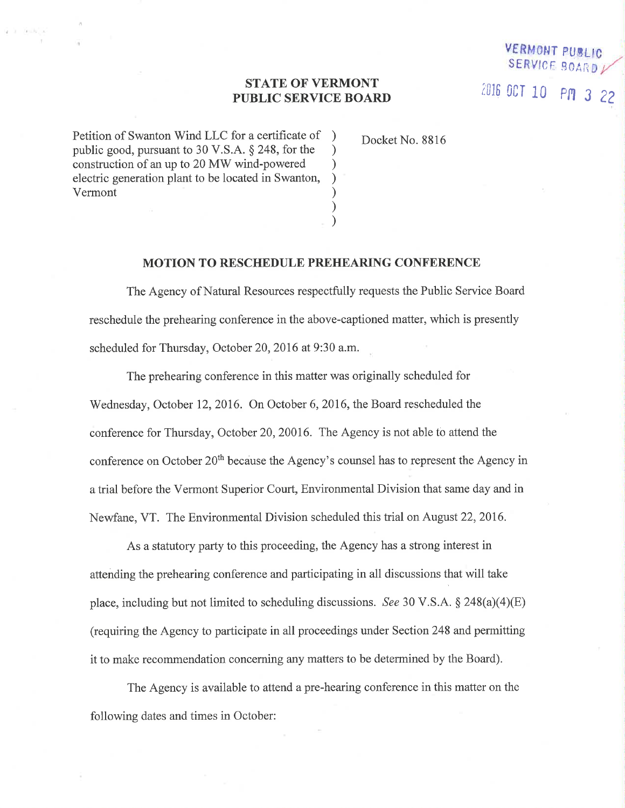### STATE OF VERMONT PUBLIC SERVICE BOARD

) ) ) ) ) ) )

Petition of Swanton Wind LLC for a certificate of public good, pursuant to 30 V.S.A. \$ 248, for the construction of an up to 20 MW wind-powered electric generation plant to be located in Swanton, Vermont

 $(2 - 1)$  . At  $-10$  , at

Docket No. 8816

VERMON

SERVICE BOARD /

2016 OCT 10 PM 3 22

#### MOTION TO RESCHEDULE PREHEARING CONFERENCE

The Agency of Natural Resources respectfully requests the Public Service Board reschedule the prehearing conference in the above-captioned matter, which is presently scheduled for Thursday, October 20, 2016 at 9:30 a.m.

The prehearing conference in this matter was originally scheduled for Wednesday, October 12, 2016. On October 6, 2016, the Board rescheduled the conference for Thursday, October 20,20016. The Agency is not able to attend the conference on October 20<sup>th</sup> because the Agency's counsel has to represent the Agency in a trial before the Vermont Superior Court, Environmental Division that same day and in Newfane, VT. The Environmental Division scheduled this trial on August 22,2016.

As a statutory party to this proceeding, the Agency has a strong interest in attending the prehearing conference and participating in all discussions that will take place, including but not limited to scheduling discussions. See 30 V.S.A.  $\S$  248(a)(4)(E) (requiring the Agency to participate in all proceedings under Section 248 and permitting it to make recommendation concerning any matters to be determined by the Board).

The Agency is available to attend a pre-hearing conference in this matter on the following dates and times in October: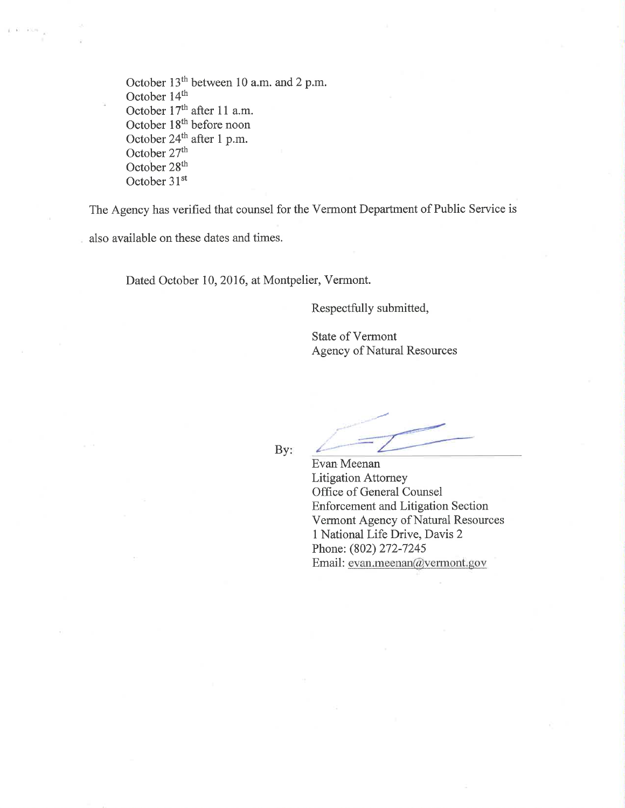October 13<sup>th</sup> between 10 a.m. and 2 p.m. October 14<sup>th</sup> October 17<sup>th</sup> after 11 a.m. October 18<sup>th</sup> before noon October  $24<sup>th</sup>$  after 1 p.m. October 27<sup>th</sup> October 28<sup>th</sup> October 31<sup>st</sup>

The Agency has verified that counsel for the Vermont Department of Public Service is

also available on these dates and times.

Dated October 10,2016, at Montpelier, Vermont.

Respectfully submitted,

State of Vermont Agency of Natural Resources

By:

Evan Meenan Litigation Attomey Office of General Counsel Enforcement and Litigation Section Vermont Agency of Natural Resources <sup>1</sup>National Life Drive, Davis 2 Phone: (802) 272-7245 Email: evan.meenan@vermont.gov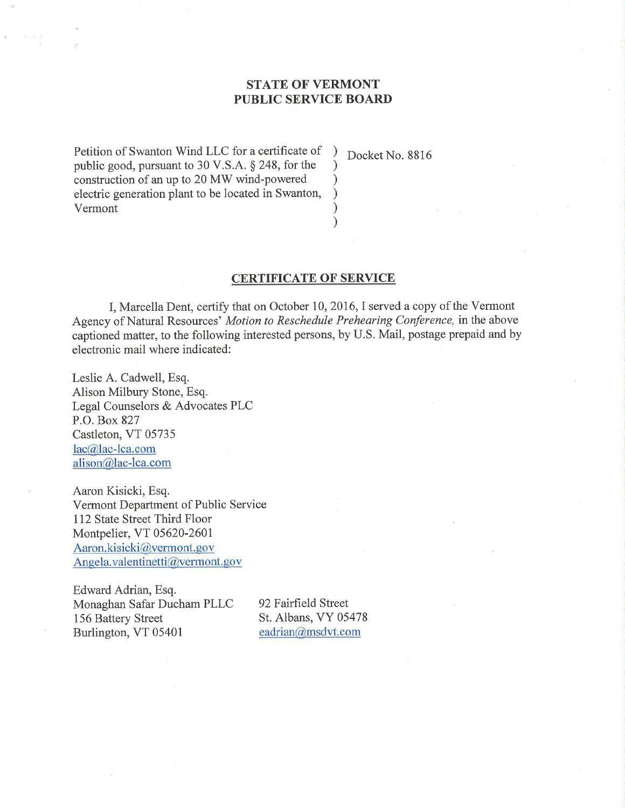# STATE OF VERMONT PUBLIC SERVICE BOARD

) ) ) ) ) )

Petition of Swanton Wind LLC for a certificate of public good, pursuant to 30 V.S.A. \$ 248, for the construction of an up to 20 MW wind-powered electric generation plant to be located in Swanton, Vermont

Docket No. 8816

### CERTIFICATE OF SERVICE

I, Marcella Dent, certify that on October 10,2016,I served a copy of the Vermont Agency of Natural Resources' Motion to Reschedule Prehearing Conference, inthe above captioned matter, to the following interested persons, by U.S. Mail, postage prepaid and by electronic mail where indicated:

Leslie A. Cadwell, Esq. Alison Milbury Stone, Esq. Legal Counselors & Advocates PLC P.O. Box 827 Castleton, VT 05735 lac@lac-lca.com alison@lac-lca.com

Aaron Kisicki, Esq. Vermont Department of Public Service 112 State Street Third Floor Montpelier, VT 05620 -2601 Aaron.kisicki@vermont.gov Angela.valentinetti@vermont.gov

Edward Adrian, Esq. Monaghan Safar Ducham PLLC 156 Battery Street Burlington, VT 05401

92 Fairfield Street St. Albans, VY 05478 eadrian@msdvt.com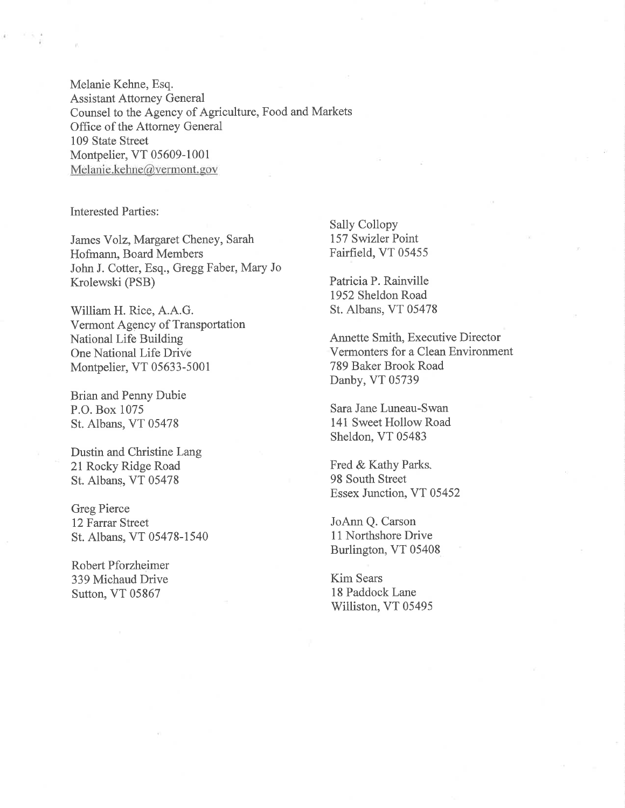Melanie Kehne, Esq. Assistant Attorney General Counsel to the Agency of Agriculture, Food and Markets Office of the Attorney General 109 State Street Montpelier, VT 05609-1001 Melanie.kehne@vermont. gov

Interested Parties:

James Yolz, Margaret Cheney, Sarah Hofmann, Board Members John J. Cotter, Esq., Gregg Faber, Mary Jo Krolewski (PSB)

William H. Rice, A.A.G. Vermont Agency of Transportation National Life Building One National Life Drivê Montpelier, VT 05633-5001

Brian and Penny Dubie P.O. Box 1075 St. Albans, VT 05478

Dustin and Christine Lang 21 Rocky Ridge Road St. Albans, VT 05478

Greg Pierce 12 Farrar Street St. Albans, VT 05478-1540

Robert Pforzheimer 339 Michaud Drive Sutton, VT 05867

Sally Collopy 157 Swizler Point Fairfield, VT 05455

Patricia P. Rainville 1952 Sheldon Road St. Albans, VT 05478

Annette Smith, Executive Director Vermonters for a Clean Environment 789 Baker Brook Road Danby, VT 05739

Sara Jane Luneau-Swan 141 Sweet Hollow Road Sheldon, VT 05483

Fred & Kathy Parks. 98 South Street Essex Junction, VT 05452

JoAnn Q. Carson 11 Northshore Drive Burlington, VT 05408

Kim Sears 18 Paddock Lane Williston, VT 05495